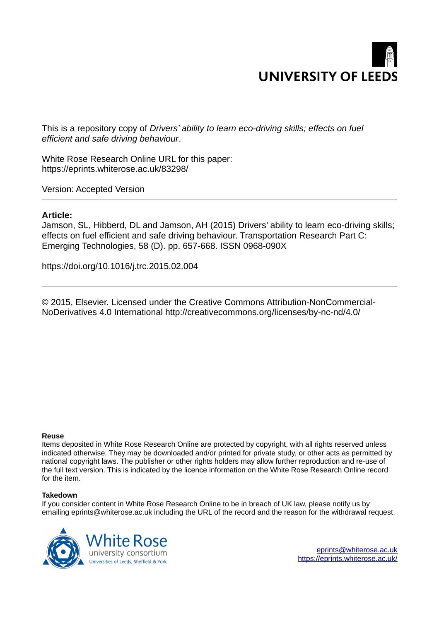

This is a repository copy of *Drivers' ability to learn eco-driving skills; effects on fuel efficient and safe driving behaviour*.

White Rose Research Online URL for this paper: https://eprints.whiterose.ac.uk/83298/

Version: Accepted Version

## **Article:**

Jamson, SL, Hibberd, DL and Jamson, AH (2015) Drivers' ability to learn eco-driving skills; effects on fuel efficient and safe driving behaviour. Transportation Research Part C: Emerging Technologies, 58 (D). pp. 657-668. ISSN 0968-090X

https://doi.org/10.1016/j.trc.2015.02.004

© 2015, Elsevier. Licensed under the Creative Commons Attribution-NonCommercial-NoDerivatives 4.0 International http://creativecommons.org/licenses/by-nc-nd/4.0/

#### **Reuse**

Items deposited in White Rose Research Online are protected by copyright, with all rights reserved unless indicated otherwise. They may be downloaded and/or printed for private study, or other acts as permitted by national copyright laws. The publisher or other rights holders may allow further reproduction and re-use of the full text version. This is indicated by the licence information on the White Rose Research Online record for the item.

#### **Takedown**

If you consider content in White Rose Research Online to be in breach of UK law, please notify us by emailing eprints@whiterose.ac.uk including the URL of the record and the reason for the withdrawal request.



eprints@whiterose.ac.uk https://eprints.whiterose.ac.uk/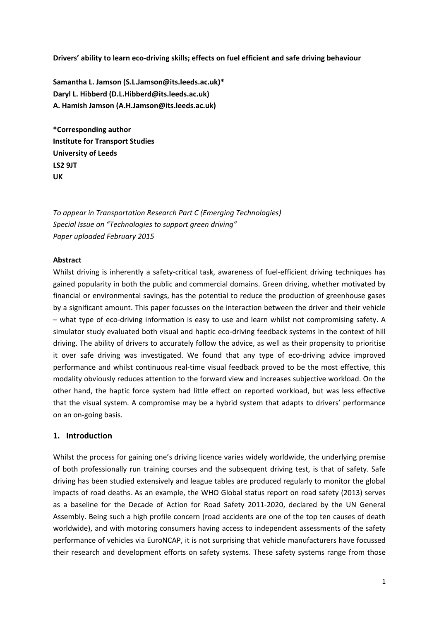**Drivers' ability to learn eco‐driving skills; effects on fuel efficient and safe driving behaviour**

**Samantha L. Jamson (S.L.Jamson@its.leeds.ac.uk)\* Daryl L. Hibberd (D.L.Hibberd@its.leeds.ac.uk) A. Hamish Jamson (A.H.Jamson@its.leeds.ac.uk)**

**\*Corresponding author Institute for Transport Studies University of Leeds LS2 9JT UK**

*To appear in Transportation Research Part C (Emerging Technologies) Special Issue on "Technologies to support green driving" Paper uploaded February 2015*

### **Abstract**

Whilst driving is inherently a safety-critical task, awareness of fuel-efficient driving techniques has gained popularity in both the public and commercial domains. Green driving, whether motivated by financial or environmental savings, has the potential to reduce the production of greenhouse gases by a significant amount. This paper focusses on the interaction between the driver and their vehicle – what type of eco‐driving information is easy to use and learn whilst not compromising safety. A simulator study evaluated both visual and haptic eco-driving feedback systems in the context of hill driving. The ability of drivers to accurately follow the advice, as well as their propensity to prioritise it over safe driving was investigated. We found that any type of eco-driving advice improved performance and whilst continuous real‐time visual feedback proved to be the most effective, this modality obviously reduces attention to the forward view and increases subjective workload. On the other hand, the haptic force system had little effect on reported workload, but was less effective that the visual system. A compromise may be a hybrid system that adapts to drivers' performance on an on‐going basis.

### **1. Introduction**

Whilst the process for gaining one's driving licence varies widely worldwide, the underlying premise of both professionally run training courses and the subsequent driving test, is that of safety. Safe driving has been studied extensively and league tables are produced regularly to monitor the global impacts of road deaths. As an example, the WHO Global status report on road safety (2013) serves as a baseline for the Decade of Action for Road Safety 2011‐2020, declared by the UN General Assembly. Being such a high profile concern (road accidents are one of the top ten causes of death worldwide), and with motoring consumers having access to independent assessments of the safety performance of vehicles via EuroNCAP, it is not surprising that vehicle manufacturers have focussed their research and development efforts on safety systems. These safety systems range from those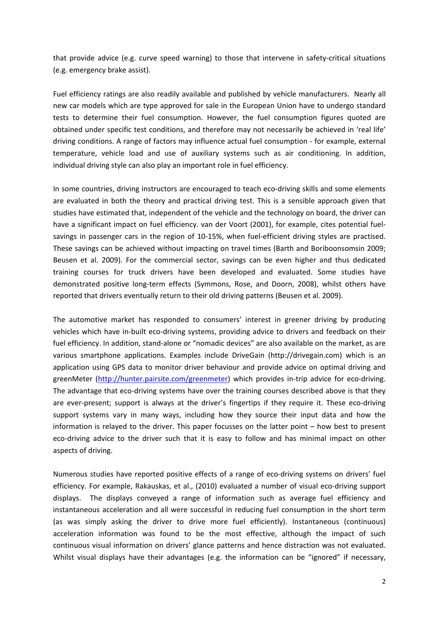that provide advice (e.g. curve speed warning) to those that intervene in safety‐critical situations (e.g. emergency brake assist).

Fuel efficiency ratings are also readily available and published by vehicle manufacturers. Nearly all new car models which are type approved for sale in the European Union have to undergo standard tests to determine their fuel consumption. However, the fuel consumption figures quoted are obtained under specific test conditions, and therefore may not necessarily be achieved in 'real life' driving conditions. A range of factors may influence actual fuel consumption ‐ for example, external temperature, vehicle load and use of auxiliary systems such as air conditioning. In addition, individual driving style can also play an important role in fuel efficiency.

In some countries, driving instructors are encouraged to teach eco-driving skills and some elements are evaluated in both the theory and practical driving test. This is a sensible approach given that studies have estimated that, independent of the vehicle and the technology on board, the driver can have a significant impact on fuel efficiency. van der Voort (2001), for example, cites potential fuel‐ savings in passenger cars in the region of 10-15%, when fuel-efficient driving styles are practised. These savings can be achieved without impacting on travel times (Barth and Boriboonsomsin 2009; Beusen et al. 2009). For the commercial sector, savings can be even higher and thus dedicated training courses for truck drivers have been developed and evaluated. Some studies have demonstrated positive long‐term effects (Symmons, Rose, and Doorn, 2008), whilst others have reported that drivers eventually return to their old driving patterns (Beusen et al. 2009).

The automotive market has responded to consumers' interest in greener driving by producing vehicles which have in-built eco-driving systems, providing advice to drivers and feedback on their fuel efficiency. In addition, stand-alone or "nomadic devices" are also available on the market, as are various smartphone applications. Examples include DriveGain (http://drivegain.com) which is an application using GPS data to monitor driver behaviour and provide advice on optimal driving and greenMeter (http://hunter.pairsite.com/greenmeter) which provides in-trip advice for eco-driving. The advantage that eco-driving systems have over the training courses described above is that they are ever-present; support is always at the driver's fingertips if they require it. These eco-driving support systems vary in many ways, including how they source their input data and how the information is relayed to the driver. This paper focusses on the latter point – how best to present eco-driving advice to the driver such that it is easy to follow and has minimal impact on other aspects of driving.

Numerous studies have reported positive effects of a range of eco‐driving systems on drivers' fuel efficiency. For example, Rakauskas, et al., (2010) evaluated a number of visual eco-driving support displays. The displays conveyed a range of information such as average fuel efficiency and instantaneous acceleration and all were successful in reducing fuel consumption in the short term (as was simply asking the driver to drive more fuel efficiently). Instantaneous (continuous) acceleration information was found to be the most effective, although the impact of such continuous visual information on drivers' glance patterns and hence distraction was not evaluated. Whilst visual displays have their advantages (e.g. the information can be "ignored" if necessary,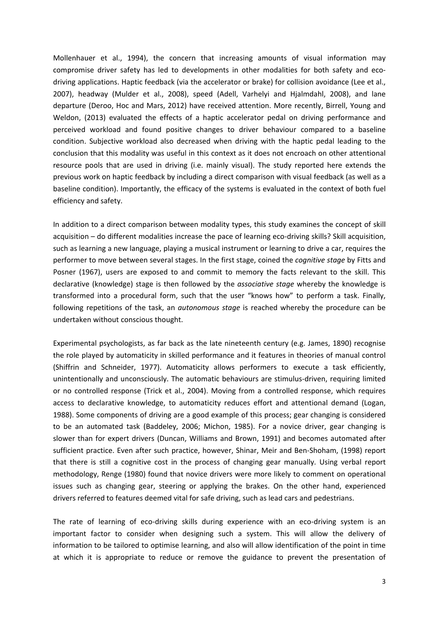Mollenhauer et al., 1994), the concern that increasing amounts of visual information may compromise driver safety has led to developments in other modalities for both safety and eco‐ driving applications. Haptic feedback (via the accelerator or brake) for collision avoidance (Lee et al., 2007), headway (Mulder et al., 2008), speed (Adell, Varhelyi and Hjalmdahl, 2008), and lane departure (Deroo, Hoc and Mars, 2012) have received attention. More recently, Birrell, Young and Weldon, (2013) evaluated the effects of a haptic accelerator pedal on driving performance and perceived workload and found positive changes to driver behaviour compared to a baseline condition. Subjective workload also decreased when driving with the haptic pedal leading to the conclusion that this modality was useful in this context as it does not encroach on other attentional resource pools that are used in driving (i.e. mainly visual). The study reported here extends the previous work on haptic feedback by including a direct comparison with visual feedback (as well as a baseline condition). Importantly, the efficacy of the systems is evaluated in the context of both fuel efficiency and safety.

In addition to a direct comparison between modality types, this study examines the concept of skill acquisition – do different modalities increase the pace of learning eco-driving skills? Skill acquisition, such as learning a new language, playing a musical instrument or learning to drive a car, requires the performer to move between several stages. In the first stage, coined the *cognitive stage* by Fitts and Posner (1967), users are exposed to and commit to memory the facts relevant to the skill. This declarative (knowledge) stage is then followed by the *associative stage* whereby the knowledge is transformed into a procedural form, such that the user "knows how" to perform a task. Finally, following repetitions of the task, an *autonomous stage* is reached whereby the procedure can be undertaken without conscious thought.

Experimental psychologists, as far back as the late nineteenth century (e.g. James, 1890) recognise the role played by automaticity in skilled performance and it features in theories of manual control (Shiffrin and Schneider, 1977). Automaticity allows performers to execute a task efficiently, unintentionally and unconsciously. The automatic behaviours are stimulus-driven, requiring limited or no controlled response (Trick et al., 2004). Moving from a controlled response, which requires access to declarative knowledge, to automaticity reduces effort and attentional demand (Logan, 1988). Some components of driving are a good example of this process; gear changing is considered to be an automated task (Baddeley, 2006; Michon, 1985). For a novice driver, gear changing is slower than for expert drivers (Duncan, Williams and Brown, 1991) and becomes automated after sufficient practice. Even after such practice, however, Shinar, Meir and Ben‐Shoham, (1998) report that there is still a cognitive cost in the process of changing gear manually. Using verbal report methodology, Renge (1980) found that novice drivers were more likely to comment on operational issues such as changing gear, steering or applying the brakes. On the other hand, experienced drivers referred to features deemed vital for safe driving, such as lead cars and pedestrians.

The rate of learning of eco-driving skills during experience with an eco-driving system is an important factor to consider when designing such a system. This will allow the delivery of information to be tailored to optimise learning, and also will allow identification of the point in time at which it is appropriate to reduce or remove the guidance to prevent the presentation of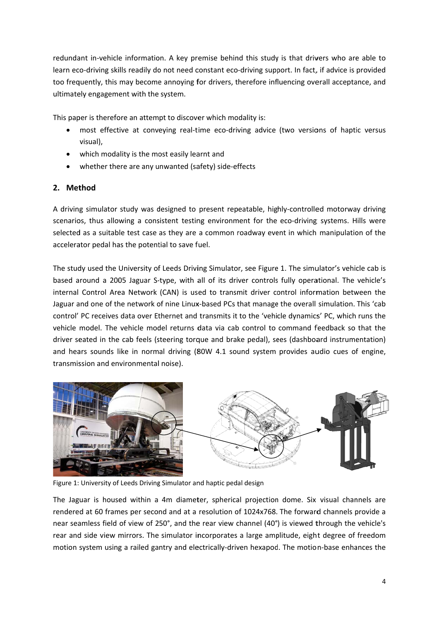redundant in-vehicle information. A key premise behind this study is that drivers who are able to learn eco-driving skills readily do not need constant eco-driving support. In fact, if advice is provided too frequently, this may become annoying for drivers, therefore influencing overall acceptance, and ultimately engagement with the system.

This paper is therefore an attempt to discover which modality is:

- most effective at conveying real-time eco-driving advice (two versions of haptic versus visual),
- which modality is the most easily learnt and
- whether there are any unwanted (safety) side-effects

# 2. Method

A driving simulator study was designed to present repeatable, highly-controlled motorway driving scenarios, thus allowing a consistent testing environment for the eco-driving systems. Hills were selected as a suitable test case as they are a common roadway event in which manipulation of the accelerator pedal has the potential to save fuel.

The study used the University of Leeds Driving Simulator, see Figure 1. The simulator's vehicle cab is based around a 2005 Jaguar S-type, with all of its driver controls fully operational. The vehicle's internal Control Area Network (CAN) is used to transmit driver control information between the Jaguar and one of the network of nine Linux-based PCs that manage the overall simulation. This 'cab control' PC receives data over Ethernet and transmits it to the 'vehicle dynamics' PC, which runs the vehicle model. The vehicle model returns data via cab control to command feedback so that the driver seated in the cab feels (steering torque and brake pedal), sees (dashboard instrumentation) and hears sounds like in normal driving (80W 4.1 sound system provides audio cues of engine, transmission and environmental noise).



Figure 1: University of Leeds Driving Simulator and haptic pedal design

The Jaguar is housed within a 4m diameter, spherical projection dome. Six visual channels are rendered at 60 frames per second and at a resolution of 1024x768. The forward channels provide a near seamless field of view of 250°, and the rear view channel (40°) is viewed through the vehicle's rear and side view mirrors. The simulator incorporates a large amplitude, eight degree of freedom motion system using a railed gantry and electrically-driven hexapod. The motion-base enhances the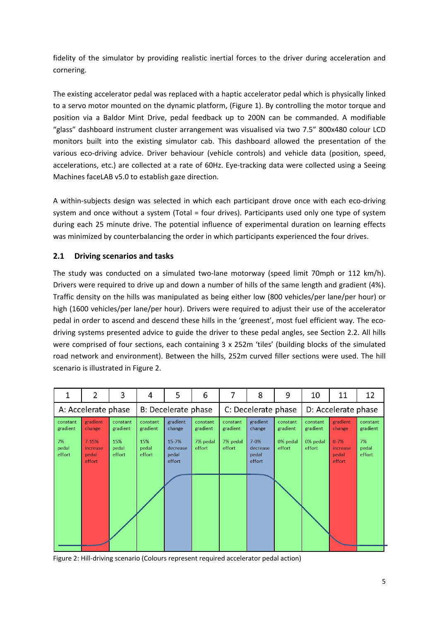fidelity of the simulator by providing realistic inertial forces to the driver during acceleration and cornering.

The existing accelerator pedal was replaced with a haptic accelerator pedal which is physically linked to a servo motor mounted on the dynamic platform, (Figure 1). By controlling the motor torque and position via a Baldor Mint Drive, pedal feedback up to 200N can be commanded. A modifiable "glass" dashboard instrument cluster arrangement was visualised via two 7.5" 800x480 colour LCD monitors built into the existing simulator cab. This dashboard allowed the presentation of the various eco-driving advice. Driver behaviour (vehicle controls) and vehicle data (position, speed, accelerations, etc.) are collected at a rate of 60Hz. Eye-tracking data were collected using a Seeing Machines faceLAB v5.0 to establish gaze direction.

A within‐subjects design was selected in which each participant drove once with each eco‐driving system and once without a system (Total = four drives). Participants used only one type of system during each 25 minute drive. The potential influence of experimental duration on learning effects was minimized by counterbalancing the order in which participants experienced the four drives.

# **2.1 Driving scenarios and tasks**

The study was conducted on a simulated two-lane motorway (speed limit 70mph or 112 km/h). Drivers were required to drive up and down a number of hills of the same length and gradient (4%). Traffic density on the hills was manipulated as being either low (800 vehicles/per lane/per hour) or high (1600 vehicles/per lane/per hour). Drivers were required to adjust their use of the accelerator pedal in order to ascend and descend these hills in the 'greenest', most fuel efficient way. The ecodriving systems presented advice to guide the driver to these pedal angles, see Section 2.2. All hills were comprised of four sections, each containing 3 x 252m 'tiles' (building blocks of the simulated road network and environment). Between the hills, 252m curved filler sections were used. The hill scenario is illustrated in Figure 2.

| 1                     | 2                                        | 3                      | 4                      | 5                                    | 6                    | 7                    | 8                                        | 9                    | 10                   | 11                                      | 12                    |
|-----------------------|------------------------------------------|------------------------|------------------------|--------------------------------------|----------------------|----------------------|------------------------------------------|----------------------|----------------------|-----------------------------------------|-----------------------|
| A: Accelerate phase   |                                          |                        | B: Decelerate phase    |                                      |                      | C: Decelerate phase  |                                          |                      | D: Accelerate phase  |                                         |                       |
| constant<br>gradient  | gradient<br>change                       | constant<br>gradient   | constant<br>gradient   | gradient<br>change                   | constant<br>gradient | constant<br>gradient | gradient<br>change                       | constant<br>gradient | constant<br>gradient | gradient<br>change                      | constant<br>gradient  |
| 7%<br>pedal<br>effort | $7 - 15%$<br>increase<br>pedal<br>effort | 15%<br>pedal<br>effort | 15%<br>pedal<br>effort | 15-7%<br>decrease<br>pedal<br>effort | 7% pedal<br>effort   | 7% pedal<br>effort   | $7 - 0\%$<br>decrease<br>pedal<br>effort | 0% pedal<br>effort   | 0% pedal<br>effort   | $0 - 7%$<br>increase<br>pedal<br>effort | 7%<br>pedal<br>effort |

Figure 2: Hill‐driving scenario (Colours represent required accelerator pedal action)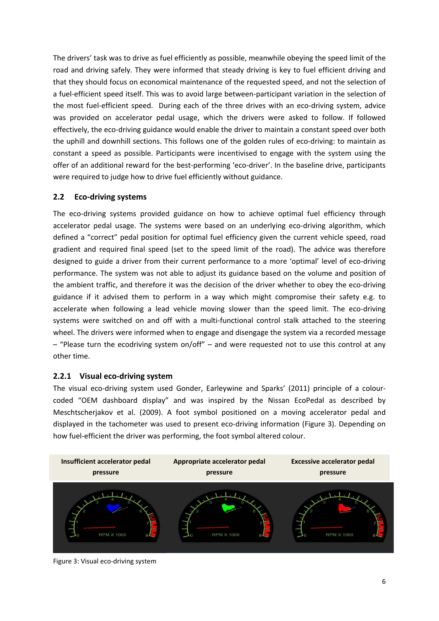The drivers' task was to drive as fuel efficiently as possible, meanwhile obeying the speed limit of the road and driving safely. They were informed that steady driving is key to fuel efficient driving and that they should focus on economical maintenance of the requested speed, and not the selection of a fuel‐efficient speed itself. This was to avoid large between‐participant variation in the selection of the most fuel-efficient speed. During each of the three drives with an eco-driving system, advice was provided on accelerator pedal usage, which the drivers were asked to follow. If followed effectively, the eco-driving guidance would enable the driver to maintain a constant speed over both the uphill and downhill sections. This follows one of the golden rules of eco-driving: to maintain as constant a speed as possible. Participants were incentivised to engage with the system using the offer of an additional reward for the best-performing 'eco-driver'. In the baseline drive, participants were required to judge how to drive fuel efficiently without guidance.

# **2.2 Eco‐driving systems**

The eco-driving systems provided guidance on how to achieve optimal fuel efficiency through accelerator pedal usage. The systems were based on an underlying eco-driving algorithm, which defined a "correct" pedal position for optimal fuel efficiency given the current vehicle speed, road gradient and required final speed (set to the speed limit of the road). The advice was therefore designed to guide a driver from their current performance to a more 'optimal' level of eco-driving performance. The system was not able to adjust its guidance based on the volume and position of the ambient traffic, and therefore it was the decision of the driver whether to obey the eco-driving guidance if it advised them to perform in a way which might compromise their safety e.g. to accelerate when following a lead vehicle moving slower than the speed limit. The eco-driving systems were switched on and off with a multi-functional control stalk attached to the steering wheel. The drivers were informed when to engage and disengage the system via a recorded message – "Please turn the ecodriving system on/off" – and were requested not to use this control at any other time.

## **2.2.1 Visual eco‐driving system**

The visual eco-driving system used Gonder, Earleywine and Sparks' (2011) principle of a colourcoded "OEM dashboard display" and was inspired by the Nissan EcoPedal as described by Meschtscherjakov et al. (2009). A foot symbol positioned on a moving accelerator pedal and displayed in the tachometer was used to present eco-driving information (Figure 3). Depending on how fuel-efficient the driver was performing, the foot symbol altered colour.



Figure 3: Visual eco-driving system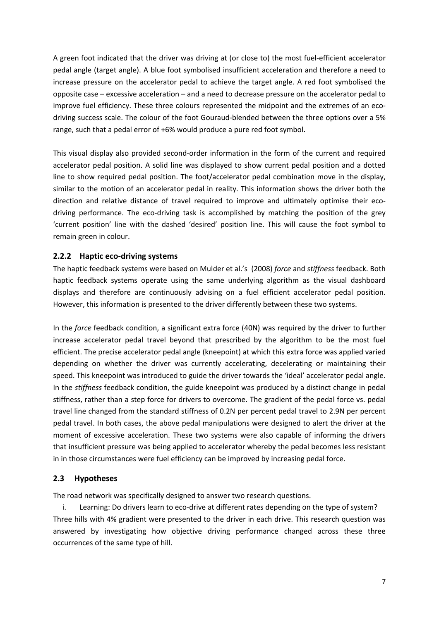A green foot indicated that the driver was driving at (or close to) the most fuel‐efficient accelerator pedal angle (target angle). A blue foot symbolised insufficient acceleration and therefore a need to increase pressure on the accelerator pedal to achieve the target angle. A red foot symbolised the opposite case – excessive acceleration – and a need to decrease pressure on the accelerator pedal to improve fuel efficiency. These three colours represented the midpoint and the extremes of an ecodriving success scale. The colour of the foot Gouraud‐blended between the three options over a 5% range, such that a pedal error of +6% would produce a pure red foot symbol.

This visual display also provided second‐order information in the form of the current and required accelerator pedal position. A solid line was displayed to show current pedal position and a dotted line to show required pedal position. The foot/accelerator pedal combination move in the display, similar to the motion of an accelerator pedal in reality. This information shows the driver both the direction and relative distance of travel required to improve and ultimately optimise their ecodriving performance. The eco-driving task is accomplished by matching the position of the grey 'current position' line with the dashed 'desired' position line. This will cause the foot symbol to remain green in colour.

## **2.2.2 Haptic eco‐driving systems**

The haptic feedback systems were based on Mulder et al.'s (2008) *force* and *stiffness* feedback. Both haptic feedback systems operate using the same underlying algorithm as the visual dashboard displays and therefore are continuously advising on a fuel efficient accelerator pedal position. However, this information is presented to the driver differently between these two systems.

In the *force* feedback condition, a significant extra force (40N) was required by the driver to further increase accelerator pedal travel beyond that prescribed by the algorithm to be the most fuel efficient. The precise accelerator pedal angle (kneepoint) at which this extra force was applied varied depending on whether the driver was currently accelerating, decelerating or maintaining their speed. This kneepoint was introduced to guide the driver towards the 'ideal' accelerator pedal angle. In the *stiffness* feedback condition, the guide kneepoint was produced by a distinct change in pedal stiffness, rather than a step force for drivers to overcome. The gradient of the pedal force vs. pedal travel line changed from the standard stiffness of 0.2N per percent pedal travel to 2.9N per percent pedal travel. In both cases, the above pedal manipulations were designed to alert the driver at the moment of excessive acceleration. These two systems were also capable of informing the drivers that insufficient pressure was being applied to accelerator whereby the pedal becomes less resistant in in those circumstances were fuel efficiency can be improved by increasing pedal force.

### **2.3 Hypotheses**

The road network was specifically designed to answer two research questions.

i. Learning: Do drivers learn to eco-drive at different rates depending on the type of system? Three hills with 4% gradient were presented to the driver in each drive. This research question was answered by investigating how objective driving performance changed across these three occurrences of the same type of hill.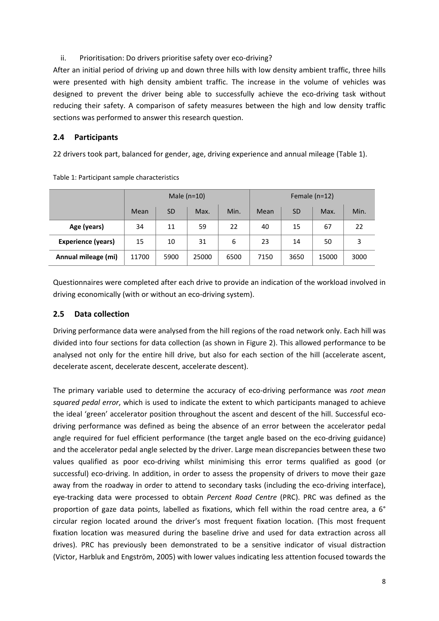## ii. Prioritisation: Do drivers prioritise safety over eco-driving?

After an initial period of driving up and down three hills with low density ambient traffic, three hills were presented with high density ambient traffic. The increase in the volume of vehicles was designed to prevent the driver being able to successfully achieve the eco-driving task without reducing their safety. A comparison of safety measures between the high and low density traffic sections was performed to answer this research question.

## **2.4 Participants**

22 drivers took part, balanced for gender, age, driving experience and annual mileage (Table 1).

|                     |       |           | Male $(n=10)$ |      | Female $(n=12)$ |           |       |      |  |
|---------------------|-------|-----------|---------------|------|-----------------|-----------|-------|------|--|
|                     | Mean  | <b>SD</b> | Max.          | Min. | Mean            | <b>SD</b> | Max.  | Min. |  |
| Age (years)         | 34    | 11        | 59            | 22   | 40              | 15        | 67    | 22   |  |
| Experience (years)  | 15    | 10        | 31            | 6    | 23              | 14        | 50    | 3    |  |
| Annual mileage (mi) | 11700 | 5900      | 25000         | 6500 | 7150            | 3650      | 15000 | 3000 |  |

Table 1: Participant sample characteristics

Questionnaires were completed after each drive to provide an indication of the workload involved in driving economically (with or without an eco-driving system).

## **2.5 Data collection**

Driving performance data were analysed from the hill regions of the road network only. Each hill was divided into four sections for data collection (as shown in Figure 2). This allowed performance to be analysed not only for the entire hill drive, but also for each section of the hill (accelerate ascent, decelerate ascent, decelerate descent, accelerate descent).

The primary variable used to determine the accuracy of eco‐driving performance was *root mean squared pedal error*, which is used to indicate the extent to which participants managed to achieve the ideal 'green' accelerator position throughout the ascent and descent of the hill. Successful ecodriving performance was defined as being the absence of an error between the accelerator pedal angle required for fuel efficient performance (the target angle based on the eco-driving guidance) and the accelerator pedal angle selected by the driver. Large mean discrepancies between these two values qualified as poor eco-driving whilst minimising this error terms qualified as good (or successful) eco-driving. In addition, in order to assess the propensity of drivers to move their gaze away from the roadway in order to attend to secondary tasks (including the eco-driving interface), eye‐tracking data were processed to obtain *Percent Road Centre* (PRC). PRC was defined as the proportion of gaze data points, labelled as fixations, which fell within the road centre area, a 6° circular region located around the driver's most frequent fixation location. (This most frequent fixation location was measured during the baseline drive and used for data extraction across all drives). PRC has previously been demonstrated to be a sensitive indicator of visual distraction (Victor, Harbluk and Engström, 2005) with lower values indicating less attention focused towards the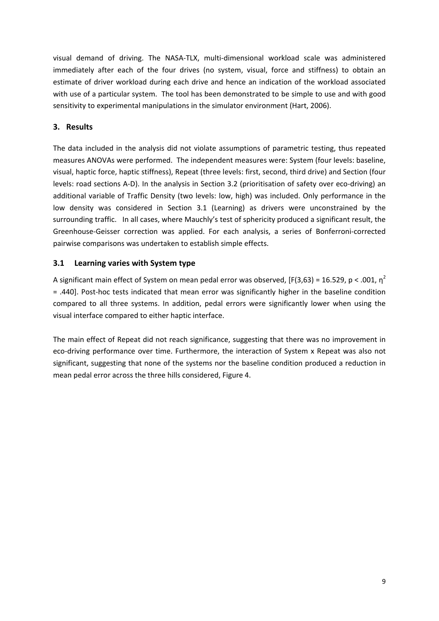visual demand of driving. The NASA‐TLX, multi‐dimensional workload scale was administered immediately after each of the four drives (no system, visual, force and stiffness) to obtain an estimate of driver workload during each drive and hence an indication of the workload associated with use of a particular system. The tool has been demonstrated to be simple to use and with good sensitivity to experimental manipulations in the simulator environment (Hart, 2006).

# **3. Results**

The data included in the analysis did not violate assumptions of parametric testing, thus repeated measures ANOVAs were performed. The independent measures were: System (four levels: baseline, visual, haptic force, haptic stiffness), Repeat (three levels: first, second, third drive) and Section (four levels: road sections A-D). In the analysis in Section 3.2 (prioritisation of safety over eco-driving) an additional variable of Traffic Density (two levels: low, high) was included. Only performance in the low density was considered in Section 3.1 (Learning) as drivers were unconstrained by the surrounding traffic. In all cases, where Mauchly's test of sphericity produced a significant result, the Greenhouse‐Geisser correction was applied. For each analysis, a series of Bonferroni‐corrected pairwise comparisons was undertaken to establish simple effects.

# **3.1 Learning varies with System type**

A significant main effect of System on mean pedal error was observed, [F(3,63) = 16.529, p < .001,  $\eta^2$ = .440]. Post‐hoc tests indicated that mean error was significantly higher in the baseline condition compared to all three systems. In addition, pedal errors were significantly lower when using the visual interface compared to either haptic interface.

The main effect of Repeat did not reach significance, suggesting that there was no improvement in eco‐driving performance over time. Furthermore, the interaction of System x Repeat was also not significant, suggesting that none of the systems nor the baseline condition produced a reduction in mean pedal error across the three hills considered, Figure 4.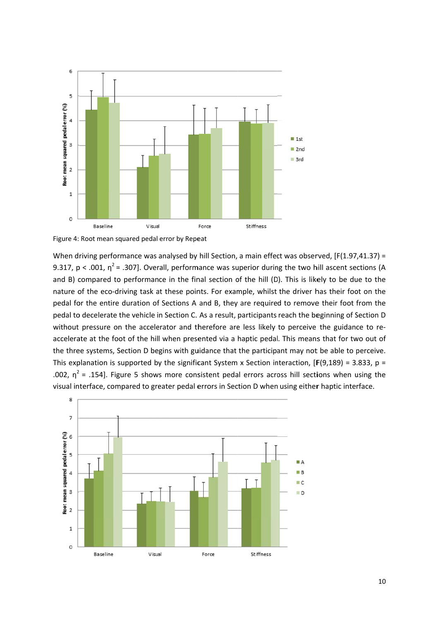

Figure 4: Root mean squared pedal error by Repeat

When driving performance was analysed by hill Section, a main effect was observed, [F(1.97,41.37) = 9.317, p < .001,  $\eta^2$  = .307]. Overall, performance was superior during the two hill ascent sections (A and B) compared to performance in the final section of the hill (D). This is likely to be due to the nature of the eco-driving task at these points. For example, whilst the driver has their foot on the pedal for the entire duration of Sections A and B, they are required to remove their foot from the pedal to decelerate the vehicle in Section C. As a result, participants reach the beginning of Section D without pressure on the accelerator and therefore are less likely to perceive the guidance to reaccelerate at the foot of the hill when presented via a haptic pedal. This means that for two out of the three systems, Section D begins with guidance that the participant may not be able to perceive. This explanation is supported by the significant System x Section interaction,  $[F(9,189) = 3.833, p =$ .002,  $\eta^2$  = .154]. Figure 5 shows more consistent pedal errors across hill sections when using the visual interface, compared to greater pedal errors in Section D when using either haptic interface.

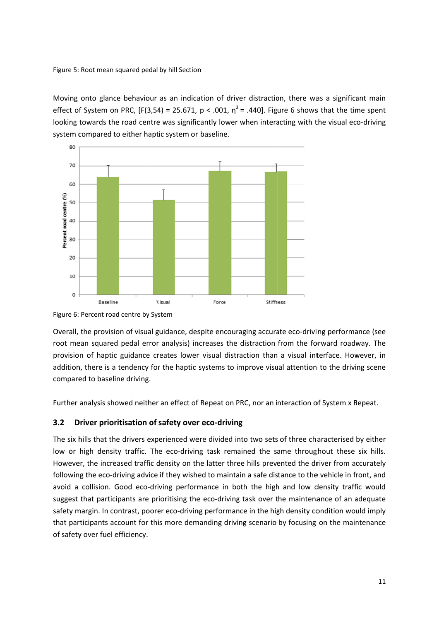Figure 5: Root mean squared pedal by hill Section

Moving onto glance behaviour as an indication of driver distraction, there was a significant main effect of System on PRC,  $[F(3,54) = 25.671, p < .001, \eta^2 = .440]$ . Figure 6 shows that the time spent looking towards the road centre was significantly lower when interacting with the visual eco-driving system compared to either haptic system or baseline.



Figure 6: Percent road centre by System

Overall, the provision of visual guidance, despite encouraging accurate eco-driving performance (see root mean squared pedal error analysis) increases the distraction from the forward roadway. The provision of haptic guidance creates lower visual distraction than a visual interface. However, in addition, there is a tendency for the haptic systems to improve visual attention to the driving scene compared to baseline driving.

Further analysis showed neither an effect of Repeat on PRC, nor an interaction of System x Repeat.

#### **3.2 D Driver prioritisation of safety over eco-driving**

The six hills that the drivers experienced were divided into two sets of three characterised by either low or high density traffic. The eco-driving task remained the same throughout these six hills. However, the increased traffic density on the latter three hills prevented the driver from accurately following the eco-driving advice if they wished to maintain a safe distance to the vehicle in front, and avoid a collision. Good eco-driving performance in both the high and low density traffic would suggest that participants are prioritising the eco-driving task over the maintenance of an adequate safety margin. In contrast, poorer eco-driving performance in the high density condition would imply that participants account for this more demanding driving scenario by focusing on the maintenance of safety over fuel efficiency.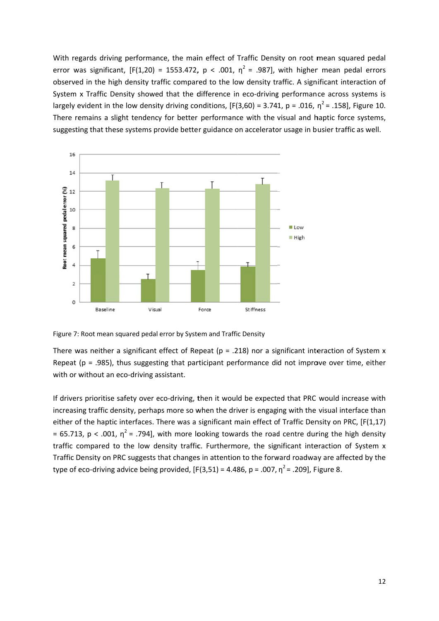With regards driving performance, the main effect of Traffic Density on root mean squared pedal error was significant,  $[F(1,20) = 1553.472, p < .001, \eta^2 = .987]$ , with higher mean pedal errors observed in the high density traffic compared to the low density traffic. A significant interaction of System x Traffic Density showed that the difference in eco-driving performance across systems is largely evident in the low density driving conditions,  $[F(3,60) = 3.741, p = .016, n^2 = .158]$ , Figure 10. There remains a slight tendency for better performance with the visual and haptic force systems, suggesting that these systems provide better guidance on accelerator usage in busier traffic as well.



Figure 7: Root mean squared pedal error by System and Traffic Density

There was neither a significant effect of Repeat ( $p = .218$ ) nor a significant interaction of System x Repeat ( $p = .985$ ), thus suggesting that participant performance did not improve over time, either with or without an eco-driving assistant.

If drivers prioritise safety over eco-driving, then it would be expected that PRC would increase with increasing traffic density, perhaps more so when the driver is engaging with the visual interface than either of the haptic interfaces. There was a significant main effect of Traffic Density on PRC, [F(1,17) = 65.713, p < .001,  $\eta^2$  = .794], with more looking towards the road centre during the high density traffic compared to the low density traffic. Furthermore, the significant interaction of System x Traffic Density on PRC suggests that changes in attention to the forward roadway are affected by the type of eco-driving advice being provided,  $[F(3,51) = 4.486, p = .007, n^2 = .209]$ , Figure 8.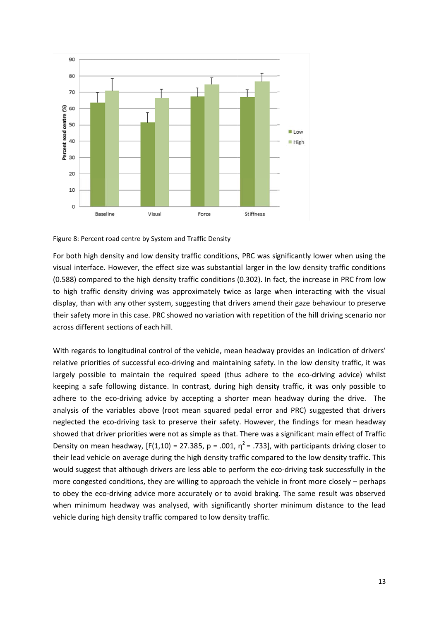

Figure 8: Percent road centre by System and Traffic Density

For both high density and low density traffic conditions, PRC was significantly lower when using the visual interface. However, the effect size was substantial larger in the low density traffic conditions (0.588) compared to the high density traffic conditions (0.302). In fact, the increase in PRC from low to high traffic density driving was approximately twice as large when interacting with the visual display, than with any other system, suggesting that drivers amend their gaze behaviour to preserve their safety more in this case. PRC showed no variation with repetition of the hill driving scenario nor across different sections of each hill.

With regards to longitudinal control of the vehicle, mean headway provides an indication of drivers' relative priorities of successful eco-driving and maintaining safety. In the low density traffic, it was largely possible to maintain the required speed (thus adhere to the eco-driving advice) whilst keeping a safe following distance. In contrast, during high density traffic, it was only possible to adhere to the eco-driving advice by accepting a shorter mean headway during the drive. The analysis of the variables above (root mean squared pedal error and PRC) suggested that drivers neglected the eco-driving task to preserve their safety. However, the findings for mean headway showed that driver priorities were not as simple as that. There was a significant main effect of Traffic Density on mean headway,  $[F(1,10) = 27.385, p = .001, n^2 = .733]$ , with participants driving closer to their lead vehicle on average during the high density traffic compared to the low density traffic. This would suggest that although drivers are less able to perform the eco-driving task successfully in the more congested conditions, they are willing to approach the vehicle in front more closely - perhaps to obey the eco-driving advice more accurately or to avoid braking. The same result was observed when minimum headway was analysed, with significantly shorter minimum distance to the lead vehicle during high density traffic compared to low density traffic.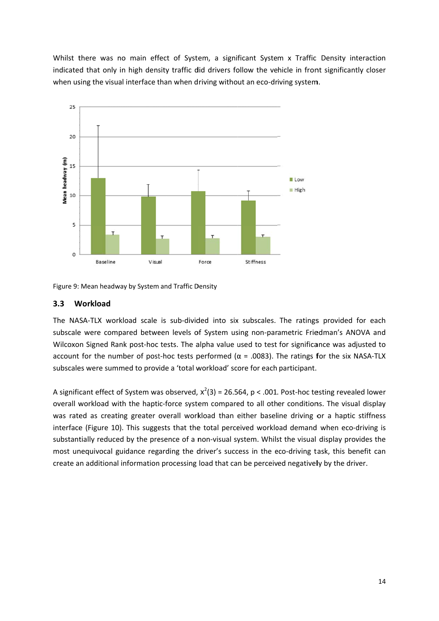Whilst there was no main effect of System, a significant System x Traffic Density interaction indicated that only in high density traffic did drivers follow the vehicle in front significantly closer when using the visual interface than when driving without an eco-driving system.



Figure 9: Mean headway by System and Traffic Density

#### $3.3$ Workload

The NASA-TLX workload scale is sub-divided into six subscales. The ratings provided for each subscale were compared between levels of System using non-parametric Friedman's ANOVA and Wilcoxon Signed Rank post-hoc tests. The alpha value used to test for significance was adjusted to account for the number of post-hoc tests performed ( $\alpha$  = .0083). The ratings for the six NASA-TLX subscales were summed to provide a 'total workload' score for each participant.

A significant effect of System was observed.  $x^2(3) = 26.564$ .  $p < .001$ . Post-hoc testing revealed lower overall workload with the haptic-force system compared to all other conditions. The visual display was rated as creating greater overall workload than either baseline driving or a haptic stiffness interface (Figure 10). This suggests that the total perceived workload demand when eco-driving is substantially reduced by the presence of a non-visual system. Whilst the visual display provides the most unequivocal guidance regarding the driver's success in the eco-driving task, this benefit can create an additional information processing load that can be perceived negatively by the driver.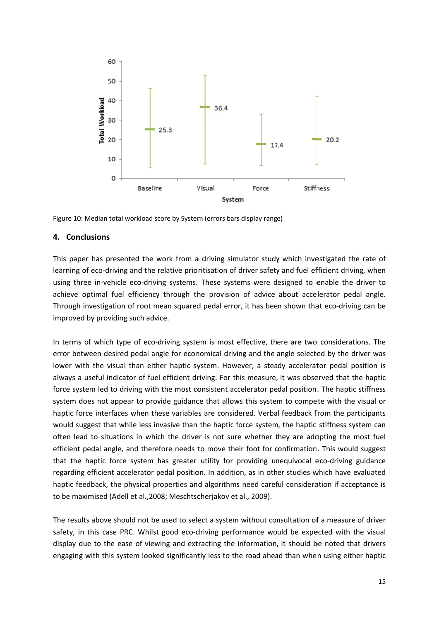

Figure 10: Median total workload score by System (errors bars display range)

## 4. Conclusions

This paper has presented the work from a driving simulator study which investigated the rate of learning of eco-driving and the relative prioritisation of driver safety and fuel efficient driving, when using three in-vehicle eco-driving systems. These systems were designed to enable the driver to achieve optimal fuel efficiency through the provision of advice about accelerator pedal angle. Through investigation of root mean squared pedal error, it has been shown that eco-driving can be improved by providing such advice.

In terms of which type of eco-driving system is most effective, there are two considerations. The error between desired pedal angle for economical driving and the angle selected by the driver was lower with the visual than either haptic system. However, a steady accelerator pedal position is always a useful indicator of fuel efficient driving. For this measure, it was observed that the haptic force system led to driving with the most consistent accelerator pedal position. The haptic stiffness system does not appear to provide guidance that allows this system to compete with the visual or haptic force interfaces when these variables are considered. Verbal feedback from the participants would suggest that while less invasive than the haptic force system, the haptic stiffness system can often lead to situations in which the driver is not sure whether they are adopting the most fuel efficient pedal angle, and therefore needs to move their foot for confirmation. This would suggest that the haptic force system has greater utility for providing unequivocal eco-driving guidance regarding efficient accelerator pedal position. In addition, as in other studies which have evaluated haptic feedback, the physical properties and algorithms need careful consideration if acceptance is to be maximised (Adell et al., 2008; Meschtscherjakov et al., 2009).

The results above should not be used to select a system without consultation of a measure of driver safety, in this case PRC. Whilst good eco-driving performance would be expected with the visual display due to the ease of viewing and extracting the information, it should be noted that drivers engaging with this system looked significantly less to the road ahead than when using either haptic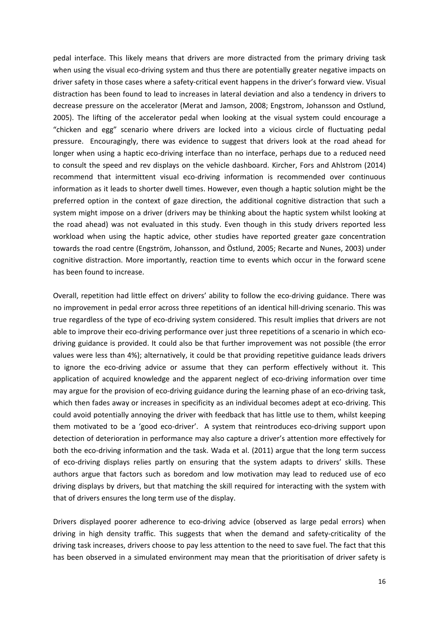pedal interface. This likely means that drivers are more distracted from the primary driving task when using the visual eco-driving system and thus there are potentially greater negative impacts on driver safety in those cases where a safety‐critical event happens in the driver's forward view. Visual distraction has been found to lead to increases in lateral deviation and also a tendency in drivers to decrease pressure on the accelerator (Merat and Jamson, 2008; Engstrom, Johansson and Ostlund, 2005). The lifting of the accelerator pedal when looking at the visual system could encourage a "chicken and egg" scenario where drivers are locked into a vicious circle of fluctuating pedal pressure. Encouragingly, there was evidence to suggest that drivers look at the road ahead for longer when using a haptic eco-driving interface than no interface, perhaps due to a reduced need to consult the speed and rev displays on the vehicle dashboard. Kircher, Fors and Ahlstrom (2014) recommend that intermittent visual eco-driving information is recommended over continuous information as it leads to shorter dwell times. However, even though a haptic solution might be the preferred option in the context of gaze direction, the additional cognitive distraction that such a system might impose on a driver (drivers may be thinking about the haptic system whilst looking at the road ahead) was not evaluated in this study. Even though in this study drivers reported less workload when using the haptic advice, other studies have reported greater gaze concentration towards the road centre (Engström, Johansson, and Östlund, 2005; Recarte and Nunes, 2003) under cognitive distraction. More importantly, reaction time to events which occur in the forward scene has been found to increase.

Overall, repetition had little effect on drivers' ability to follow the eco-driving guidance. There was no improvement in pedal error across three repetitions of an identical hill‐driving scenario. This was true regardless of the type of eco-driving system considered. This result implies that drivers are not able to improve their eco-driving performance over just three repetitions of a scenario in which ecodriving guidance is provided. It could also be that further improvement was not possible (the error values were less than 4%); alternatively, it could be that providing repetitive guidance leads drivers to ignore the eco-driving advice or assume that they can perform effectively without it. This application of acquired knowledge and the apparent neglect of eco-driving information over time may argue for the provision of eco-driving guidance during the learning phase of an eco-driving task, which then fades away or increases in specificity as an individual becomes adept at eco-driving. This could avoid potentially annoying the driver with feedback that has little use to them, whilst keeping them motivated to be a 'good eco-driver'. A system that reintroduces eco-driving support upon detection of deterioration in performance may also capture a driver's attention more effectively for both the eco-driving information and the task. Wada et al. (2011) argue that the long term success of eco-driving displays relies partly on ensuring that the system adapts to drivers' skills. These authors argue that factors such as boredom and low motivation may lead to reduced use of eco driving displays by drivers, but that matching the skill required for interacting with the system with that of drivers ensures the long term use of the display.

Drivers displayed poorer adherence to eco-driving advice (observed as large pedal errors) when driving in high density traffic. This suggests that when the demand and safety‐criticality of the driving task increases, drivers choose to pay less attention to the need to save fuel. The fact that this has been observed in a simulated environment may mean that the prioritisation of driver safety is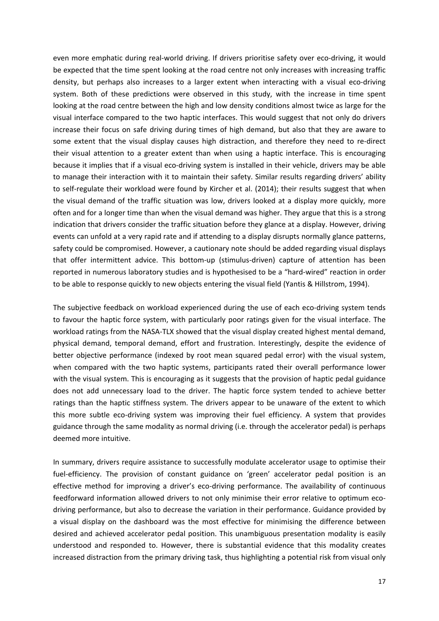even more emphatic during real-world driving. If drivers prioritise safety over eco-driving, it would be expected that the time spent looking at the road centre not only increases with increasing traffic density, but perhaps also increases to a larger extent when interacting with a visual eco-driving system. Both of these predictions were observed in this study, with the increase in time spent looking at the road centre between the high and low density conditions almost twice as large for the visual interface compared to the two haptic interfaces. This would suggest that not only do drivers increase their focus on safe driving during times of high demand, but also that they are aware to some extent that the visual display causes high distraction, and therefore they need to re-direct their visual attention to a greater extent than when using a haptic interface. This is encouraging because it implies that if a visual eco-driving system is installed in their vehicle, drivers may be able to manage their interaction with it to maintain their safety. Similar results regarding drivers' ability to self-regulate their workload were found by Kircher et al. (2014); their results suggest that when the visual demand of the traffic situation was low, drivers looked at a display more quickly, more often and for a longer time than when the visual demand was higher. They argue that this is a strong indication that drivers consider the traffic situation before they glance at a display. However, driving events can unfold at a very rapid rate and if attending to a display disrupts normally glance patterns, safety could be compromised. However, a cautionary note should be added regarding visual displays that offer intermittent advice. This bottom‐up (stimulus‐driven) capture of attention has been reported in numerous laboratory studies and is hypothesised to be a "hard‐wired" reaction in order to be able to response quickly to new objects entering the visual field (Yantis & Hillstrom, 1994).

The subjective feedback on workload experienced during the use of each eco-driving system tends to favour the haptic force system, with particularly poor ratings given for the visual interface. The workload ratings from the NASA-TLX showed that the visual display created highest mental demand, physical demand, temporal demand, effort and frustration. Interestingly, despite the evidence of better objective performance (indexed by root mean squared pedal error) with the visual system, when compared with the two haptic systems, participants rated their overall performance lower with the visual system. This is encouraging as it suggests that the provision of haptic pedal guidance does not add unnecessary load to the driver. The haptic force system tended to achieve better ratings than the haptic stiffness system. The drivers appear to be unaware of the extent to which this more subtle eco-driving system was improving their fuel efficiency. A system that provides guidance through the same modality as normal driving (i.e. through the accelerator pedal) is perhaps deemed more intuitive.

In summary, drivers require assistance to successfully modulate accelerator usage to optimise their fuel-efficiency. The provision of constant guidance on 'green' accelerator pedal position is an effective method for improving a driver's eco-driving performance. The availability of continuous feedforward information allowed drivers to not only minimise their error relative to optimum ecodriving performance, but also to decrease the variation in their performance. Guidance provided by a visual display on the dashboard was the most effective for minimising the difference between desired and achieved accelerator pedal position. This unambiguous presentation modality is easily understood and responded to. However, there is substantial evidence that this modality creates increased distraction from the primary driving task, thus highlighting a potential risk from visual only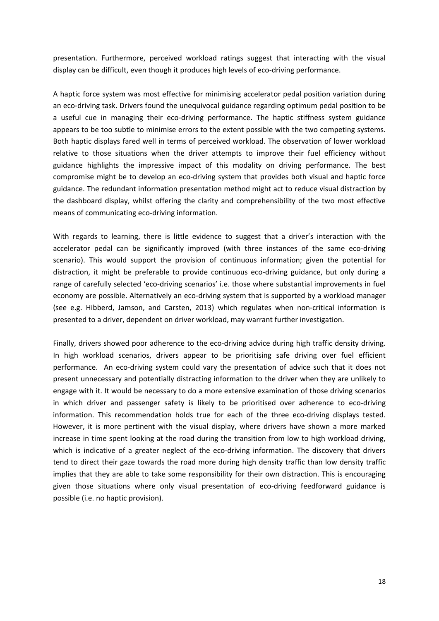presentation. Furthermore, perceived workload ratings suggest that interacting with the visual display can be difficult, even though it produces high levels of eco‐driving performance.

A haptic force system was most effective for minimising accelerator pedal position variation during an eco-driving task. Drivers found the unequivocal guidance regarding optimum pedal position to be a useful cue in managing their eco-driving performance. The haptic stiffness system guidance appears to be too subtle to minimise errors to the extent possible with the two competing systems. Both haptic displays fared well in terms of perceived workload. The observation of lower workload relative to those situations when the driver attempts to improve their fuel efficiency without guidance highlights the impressive impact of this modality on driving performance. The best compromise might be to develop an eco-driving system that provides both visual and haptic force guidance. The redundant information presentation method might act to reduce visual distraction by the dashboard display, whilst offering the clarity and comprehensibility of the two most effective means of communicating eco-driving information.

With regards to learning, there is little evidence to suggest that a driver's interaction with the accelerator pedal can be significantly improved (with three instances of the same eco-driving scenario). This would support the provision of continuous information; given the potential for distraction, it might be preferable to provide continuous eco-driving guidance, but only during a range of carefully selected 'eco-driving scenarios' i.e. those where substantial improvements in fuel economy are possible. Alternatively an eco-driving system that is supported by a workload manager (see e.g. Hibberd, Jamson, and Carsten, 2013) which regulates when non-critical information is presented to a driver, dependent on driver workload, may warrant further investigation.

Finally, drivers showed poor adherence to the eco-driving advice during high traffic density driving. In high workload scenarios, drivers appear to be prioritising safe driving over fuel efficient performance. An eco-driving system could vary the presentation of advice such that it does not present unnecessary and potentially distracting information to the driver when they are unlikely to engage with it. It would be necessary to do a more extensive examination of those driving scenarios in which driver and passenger safety is likely to be prioritised over adherence to eco-driving information. This recommendation holds true for each of the three eco-driving displays tested. However, it is more pertinent with the visual display, where drivers have shown a more marked increase in time spent looking at the road during the transition from low to high workload driving, which is indicative of a greater neglect of the eco-driving information. The discovery that drivers tend to direct their gaze towards the road more during high density traffic than low density traffic implies that they are able to take some responsibility for their own distraction. This is encouraging given those situations where only visual presentation of eco-driving feedforward guidance is possible (i.e. no haptic provision).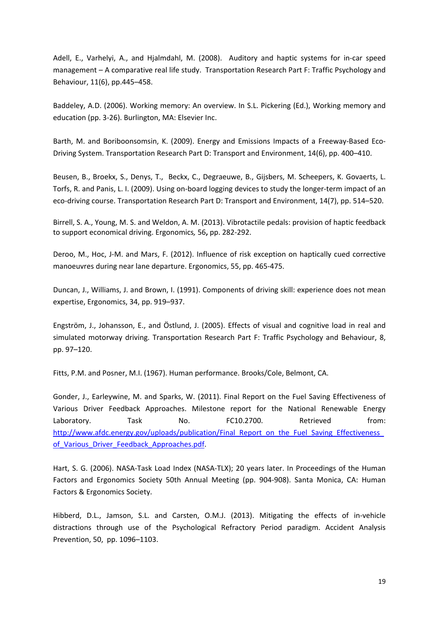Adell, E., Varhelyi, A., and Hjalmdahl, M. (2008). Auditory and haptic systems for in‐car speed management – A comparative real life study. Transportation Research Part F: Traffic Psychology and Behaviour, 11(6), pp.445–458.

Baddeley, A.D. (2006). Working memory: An overview. In S.L. Pickering (Ed.), Working memory and education (pp. 3‐26). Burlington, MA: Elsevier Inc.

Barth, M. and Boriboonsomsin, K. (2009). Energy and Emissions Impacts of a Freeway-Based Eco-Driving System. Transportation Research Part D: Transport and Environment, 14(6), pp. 400–410.

Beusen, B., Broekx, S., Denys, T., Beckx, C., Degraeuwe, B., Gijsbers, M. Scheepers, K. Govaerts, L. Torfs, R. and Panis, L. I. (2009). Using on‐board logging devices to study the longer‐term impact of an eco-driving course. Transportation Research Part D: Transport and Environment, 14(7), pp. 514–520.

Birrell, S. A., Young, M. S. and Weldon, A. M. (2013). Vibrotactile pedals: provision of haptic feedback to support economical driving. Ergonomics*,* 56**,** pp. 282‐292.

Deroo, M., Hoc, J-M. and Mars, F. (2012). Influence of risk exception on haptically cued corrective manoeuvres during near lane departure. Ergonomics, 55, pp. 465‐475.

Duncan, J., Williams, J. and Brown, I. (1991). Components of driving skill: experience does not mean expertise, Ergonomics, 34, pp. 919–937.

Engström, J., Johansson, E., and Östlund, J. (2005). Effects of visual and cognitive load in real and simulated motorway driving. Transportation Research Part F: Traffic Psychology and Behaviour, 8, pp. 97–120.

Fitts, P.M. and Posner, M.I. (1967). Human performance. Brooks/Cole, Belmont, CA.

Gonder, J., Earleywine, M. and Sparks, W. (2011). Final Report on the Fuel Saving Effectiveness of Various Driver Feedback Approaches. Milestone report for the National Renewable Energy Laboratory. Task No. FC10.2700. Retrieved from: http://www.afdc.energy.gov/uploads/publication/Final\_Report\_on\_the\_Fuel\_Saving\_Effectiveness of Various Driver Feedback Approaches.pdf.

Hart, S. G. (2006). NASA-Task Load Index (NASA-TLX); 20 years later. In Proceedings of the Human Factors and Ergonomics Society 50th Annual Meeting (pp. 904‐908). Santa Monica, CA: Human Factors & Ergonomics Society.

Hibberd, D.L., Jamson, S.L. and Carsten, O.M.J. (2013). Mitigating the effects of in‐vehicle distractions through use of the Psychological Refractory Period paradigm. Accident Analysis Prevention, 50, pp. 1096–1103.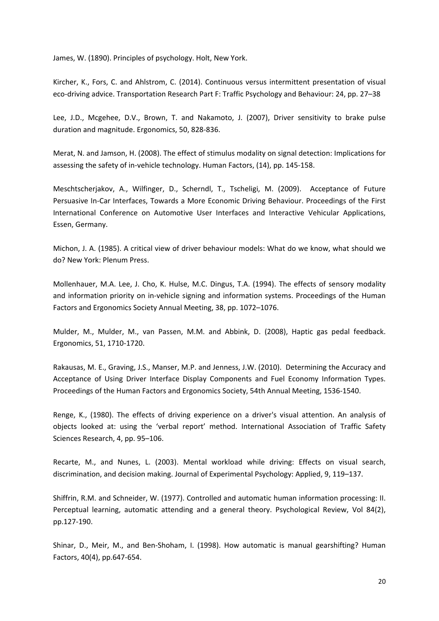James, W. (1890). Principles of psychology. Holt, New York.

Kircher, K., Fors, C. and Ahlstrom, C. (2014). Continuous versus intermittent presentation of visual eco‐driving advice. Transportation Research Part F: Traffic Psychology and Behaviour: 24, pp. 27–38

Lee, J.D., Mcgehee, D.V., Brown, T. and Nakamoto, J. (2007), Driver sensitivity to brake pulse duration and magnitude. Ergonomics, 50, 828‐836.

Merat, N. and Jamson, H. (2008). The effect of stimulus modality on signal detection: Implications for assessing the safety of in‐vehicle technology. Human Factors, (14), pp. 145‐158.

Meschtscherjakov, A., Wilfinger, D., Scherndl, T., Tscheligi, M. (2009). Acceptance of Future Persuasive In‐Car Interfaces, Towards a More Economic Driving Behaviour. Proceedings of the First International Conference on Automotive User Interfaces and Interactive Vehicular Applications, Essen, Germany.

Michon, J. A. (1985). A critical view of driver behaviour models: What do we know, what should we do? New York: Plenum Press.

Mollenhauer, M.A. Lee, J. Cho, K. Hulse, M.C. Dingus, T.A. (1994). The effects of sensory modality and information priority on in‐vehicle signing and information systems. Proceedings of the Human Factors and Ergonomics Society Annual Meeting, 38, pp. 1072–1076.

Mulder, M., Mulder, M., van Passen, M.M. and Abbink, D. (2008), Haptic gas pedal feedback. Ergonomics, 51, 1710‐1720.

Rakausas, M. E., Graving, J.S., Manser, M.P. and Jenness, J.W. (2010). Determining the Accuracy and Acceptance of Using Driver Interface Display Components and Fuel Economy Information Types. Proceedings of the Human Factors and Ergonomics Society, 54th Annual Meeting, 1536‐1540.

Renge, K., (1980). The effects of driving experience on a driver's visual attention. An analysis of objects looked at: using the 'verbal report' method. International Association of Traffic Safety Sciences Research, 4, pp. 95–106.

Recarte, M., and Nunes, L. (2003). Mental workload while driving: Effects on visual search, discrimination, and decision making. Journal of Experimental Psychology: Applied, 9, 119–137.

Shiffrin, R.M. and Schneider, W. (1977). Controlled and automatic human information processing: II. Perceptual learning, automatic attending and a general theory. Psychological Review, Vol 84(2), pp.127‐190.

Shinar, D., Meir, M., and Ben-Shoham, I. (1998). How automatic is manual gearshifting? Human Factors, 40(4), pp.647‐654.